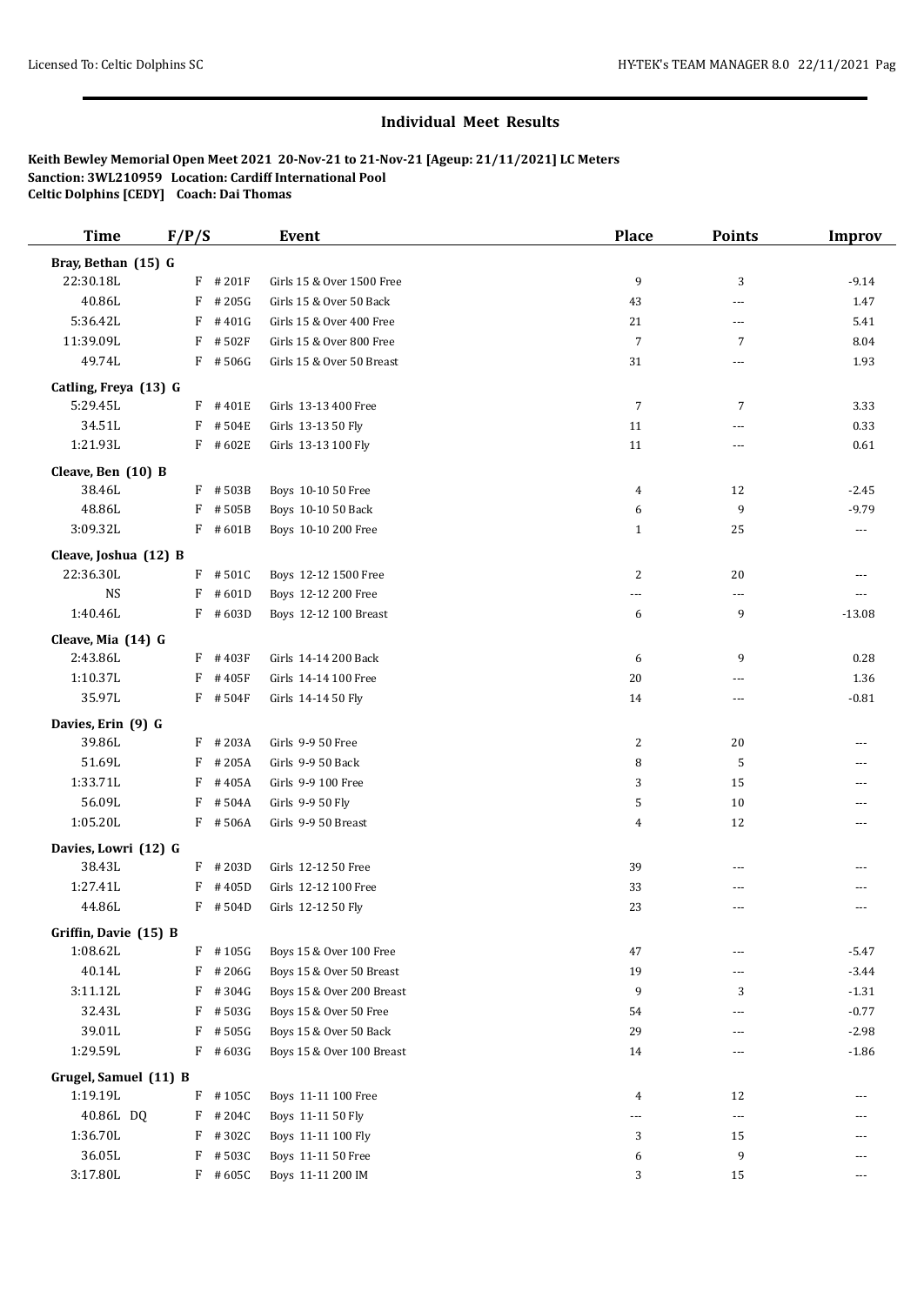## **Individual Meet Results**

**Keith Bewley Memorial Open Meet 2021 20-Nov-21 to 21-Nov-21 [Ageup: 21/11/2021] LC Meters Sanction: 3WL210959 Location: Cardiff International Pool Celtic Dolphins [CEDY] Coach: Dai Thomas**

| <b>Time</b>                       | F/P/S |                     | <b>Event</b>              | <b>Place</b>   | Points         | <b>Improv</b> |
|-----------------------------------|-------|---------------------|---------------------------|----------------|----------------|---------------|
| Bray, Bethan (15) G               |       |                     |                           |                |                |               |
| 22:30.18L                         |       | $F$ #201F           | Girls 15 & Over 1500 Free | 9              | 3              | $-9.14$       |
| 40.86L                            | F     | #205G               | Girls 15 & Over 50 Back   | 43             | ---            | 1.47          |
| 5:36.42L                          | F     | #401G               | Girls 15 & Over 400 Free  | 21             | ---            | 5.41          |
| 11:39.09L                         | F     | #502F               | Girls 15 & Over 800 Free  | $\overline{7}$ | $\overline{7}$ | 8.04          |
| 49.74L                            |       | $F$ #506G           | Girls 15 & Over 50 Breast | 31             | ---            | 1.93          |
|                                   |       |                     |                           |                |                |               |
| Catling, Freya (13) G<br>5:29.45L |       | $F$ #401E           | Girls 13-13 400 Free      | 7              | $\overline{7}$ | 3.33          |
| 34.51L                            |       | $F$ #504E           | Girls 13-13 50 Fly        | 11             | ---            | 0.33          |
| 1:21.93L                          |       | $F$ #602E           | Girls 13-13 100 Fly       | 11             | ---            | 0.61          |
|                                   |       |                     |                           |                |                |               |
| Cleave, Ben (10) B                |       |                     |                           |                |                |               |
| 38.46L                            |       | F #503B             | Boys 10-10 50 Free        | 4              | 12             | $-2.45$       |
| 48.86L                            | F     | #505B               | Boys 10-10 50 Back        | 6              | 9              | $-9.79$       |
| 3:09.32L                          |       | $F$ #601B           | Boys 10-10 200 Free       | $\mathbf{1}$   | 25             | ---           |
| Cleave, Joshua (12) B             |       |                     |                           |                |                |               |
| 22:36.30L                         |       | $F$ #501C           | Boys 12-12 1500 Free      | 2              | 20             | ---           |
| <b>NS</b>                         | F     | #601D               | Boys 12-12 200 Free       | $---$          | ---            | $---$         |
| 1:40.46L                          |       | $F$ #603D           | Boys 12-12 100 Breast     | 6              | 9              | $-13.08$      |
| Cleave, Mia (14) G                |       |                     |                           |                |                |               |
| 2:43.86L                          |       | $F$ #403F           | Girls 14-14 200 Back      | 6              | 9              | 0.28          |
| 1:10.37L                          | F     | #405F               | Girls 14-14 100 Free      | 20             | ---            | 1.36          |
| 35.97L                            |       | $F$ #504F           | Girls 14-14 50 Fly        | 14             | $\overline{a}$ | $-0.81$       |
| Davies, Erin (9) G                |       |                     |                           |                |                |               |
| 39.86L                            |       | $F$ #203A           | Girls 9-9 50 Free         | 2              | 20             | ---           |
| 51.69L                            | F     | #205A               | Girls 9-9 50 Back         | 8              | 5              |               |
| 1:33.71L                          | F     | #405A               | Girls 9-9 100 Free        | 3              | 15             | $---$         |
| 56.09L                            | F     | #504A               | Girls 9-9 50 Fly          | 5              | 10             | ---           |
| 1:05.20L                          |       | F #506A             | Girls 9-9 50 Breast       | 4              | 12             | $---$         |
|                                   |       |                     |                           |                |                |               |
| Davies, Lowri (12) G              |       |                     |                           |                |                |               |
| 38.43L<br>1:27.41L                |       | $F$ # 203D<br>#405D | Girls 12-12 50 Free       | 39             | ---            |               |
| 44.86L                            | F     | $F$ #504D           | Girls 12-12 100 Free      | 33<br>23       | ---            |               |
|                                   |       |                     | Girls 12-12 50 Fly        |                | ---            | $---$         |
| Griffin, Davie (15) B             |       |                     |                           |                |                |               |
| 1:08.62L                          | F     | #105G               | Boys 15 & Over 100 Free   | 47             |                | $-5.47$       |
| 40.14L                            | F     | #206G               | Boys 15 & Over 50 Breast  | 19             | ---            | $-3.44$       |
| 3:11.12L                          | F     | #304G               | Boys 15 & Over 200 Breast | 9              | 3              | $-1.31$       |
| 32.43L                            | F     | #503G               | Boys 15 & Over 50 Free    | 54             | ---            | $-0.77$       |
| 39.01L                            | F     | # 505G              | Boys 15 & Over 50 Back    | 29             | ---            | $-2.98$       |
| 1:29.59L                          |       | $F$ #603G           | Boys 15 & Over 100 Breast | 14             | ---            | $-1.86$       |
| Grugel, Samuel (11) B             |       |                     |                           |                |                |               |
| 1:19.19L                          |       | $F$ #105C           | Boys 11-11 100 Free       | 4              | 12             |               |
| 40.86L DQ                         |       | $F$ # 204C          | Boys 11-11 50 Fly         | ---            | ---            | ---           |
| 1:36.70L                          | F     | #302C               | Boys 11-11 100 Fly        | 3              | 15             |               |
| 36.05L                            |       | $F$ #503C           | Boys 11-11 50 Free        | 6              | 9              | $---$         |
| 3:17.80L                          |       | $F$ #605C           | Boys 11-11 200 IM         | 3              | 15             | $- - -$       |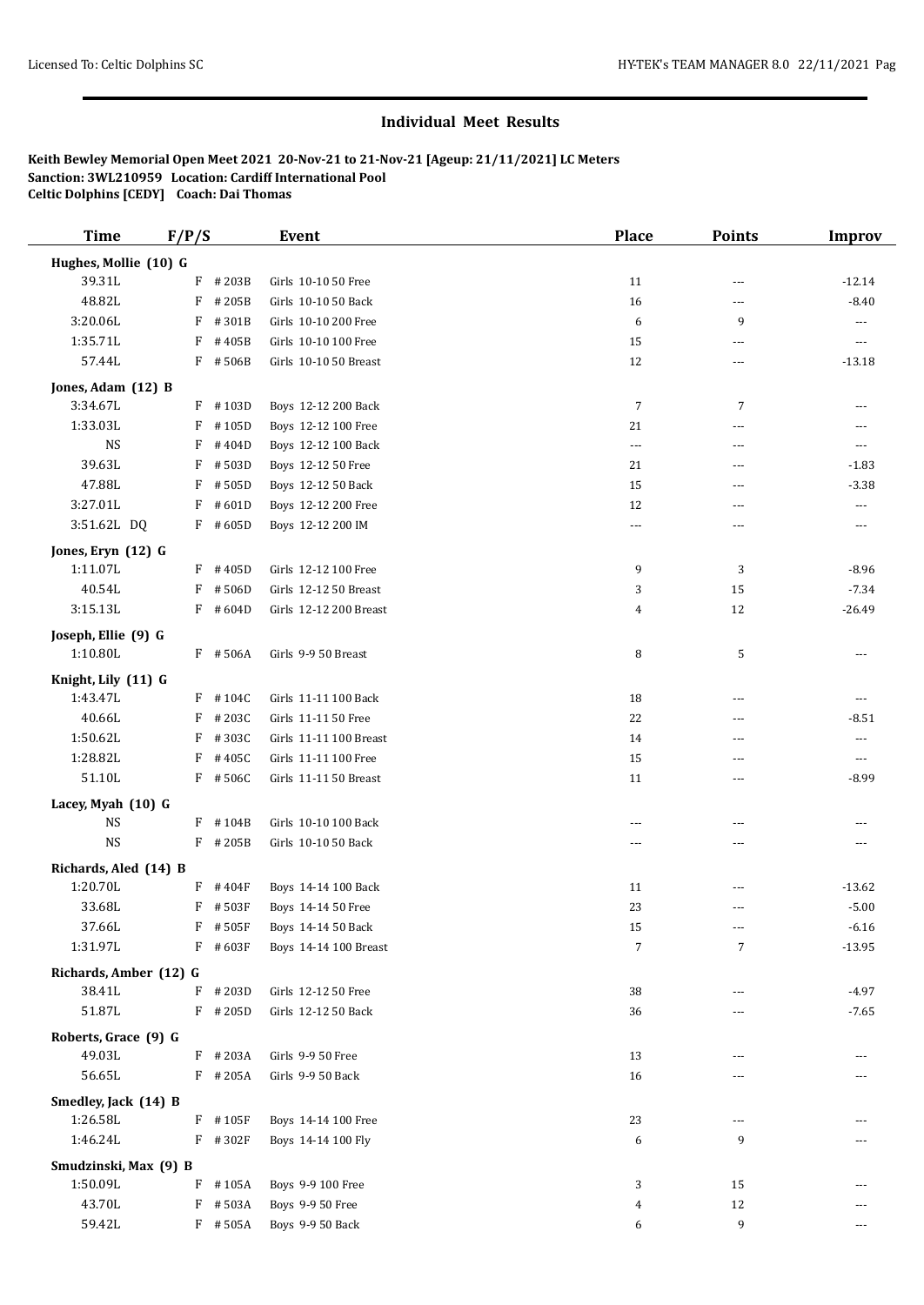## **Individual Meet Results**

**Keith Bewley Memorial Open Meet 2021 20-Nov-21 to 21-Nov-21 [Ageup: 21/11/2021] LC Meters Sanction: 3WL210959 Location: Cardiff International Pool Celtic Dolphins [CEDY] Coach: Dai Thomas**

| <b>Time</b>                       | F/P/S |            | <b>Event</b>           | <b>Place</b>   | <b>Points</b>            | <b>Improv</b>            |
|-----------------------------------|-------|------------|------------------------|----------------|--------------------------|--------------------------|
| Hughes, Mollie (10) G             |       |            |                        |                |                          |                          |
| 39.31L                            |       | $F$ # 203B | Girls 10-10 50 Free    | 11             | ---                      | $-12.14$                 |
| 48.82L                            | F     | #205B      | Girls 10-10 50 Back    | 16             | $\cdots$                 | $-8.40$                  |
| 3:20.06L                          | F     | #301B      | Girls 10-10 200 Free   | 6              | 9                        | $---$                    |
| 1:35.71L                          | F     | #405B      | Girls 10-10 100 Free   | 15             | $\overline{\phantom{a}}$ | ---                      |
| 57.44L                            |       | F #506B    | Girls 10-10 50 Breast  | 12             | $\overline{\phantom{a}}$ | $-13.18$                 |
|                                   |       |            |                        |                |                          |                          |
| Jones, Adam (12) B                |       |            |                        |                |                          |                          |
| 3:34.67L                          |       | $F$ #103D  | Boys 12-12 200 Back    | 7              | $\overline{7}$           | ---                      |
| 1:33.03L                          | F     | #105D      | Boys 12-12 100 Free    | 21             | $\cdots$                 |                          |
| <b>NS</b>                         | F     | #404D      | Boys 12-12 100 Back    | ---            | $- - -$                  | $\cdots$                 |
| 39.63L                            | F     | #503D      | Boys 12-12 50 Free     | 21             | ---                      | $-1.83$                  |
| 47.88L                            | F     | #505D      | Boys 12-12 50 Back     | 15             | $- - -$                  | $-3.38$                  |
| 3:27.01L                          | F     | #601D      | Boys 12-12 200 Free    | 12             | $\cdots$                 | $\overline{\phantom{a}}$ |
| 3:51.62L DQ                       |       | $F$ #605D  | Boys 12-12 200 IM      | ---            | ---                      | ---                      |
| Jones, Eryn (12) G                |       |            |                        |                |                          |                          |
| 1:11.07L                          |       | $F$ #405D  | Girls 12-12 100 Free   | 9              | 3                        | $-8.96$                  |
| 40.54L                            | F     | #506D      | Girls 12-12 50 Breast  | 3              | 15                       | $-7.34$                  |
| 3:15.13L                          |       | $F$ #604D  | Girls 12-12 200 Breast | $\overline{4}$ | 12                       | $-26.49$                 |
|                                   |       |            |                        |                |                          |                          |
| Joseph, Ellie (9) G<br>1:10.80L   |       |            |                        |                |                          |                          |
|                                   |       | F #506A    | Girls 9-9 50 Breast    | 8              | 5                        | ---                      |
| Knight, Lily (11) G               |       |            |                        |                |                          |                          |
| 1:43.47L                          |       | $F$ #104C  | Girls 11-11 100 Back   | 18             | $- - -$                  | $---$                    |
| 40.66L                            | F     | #203C      | Girls 11-11 50 Free    | 22             | ---                      | $-8.51$                  |
| 1:50.62L                          | F     | #303C      | Girls 11-11 100 Breast | 14             | $\sim$ $\sim$            | $---$                    |
| 1:28.82L                          | F     | #405C      | Girls 11-11 100 Free   | 15             | ---                      | $\overline{\phantom{a}}$ |
| 51.10L                            |       | $F$ #506C  | Girls 11-11 50 Breast  | 11             | $\overline{\phantom{a}}$ | $-8.99$                  |
| Lacey, Myah (10) G                |       |            |                        |                |                          |                          |
| <b>NS</b>                         |       | $F$ #104B  | Girls 10-10 100 Back   | $---$          | $\cdots$                 | ---                      |
| <b>NS</b>                         |       | $F$ # 205B | Girls 10-10 50 Back    | ---            | $\cdots$                 | $\cdots$                 |
|                                   |       |            |                        |                |                          |                          |
| Richards, Aled (14) B<br>1:20.70L |       | $F$ #404F  | Boys 14-14 100 Back    | 11             | $- - -$                  | $-13.62$                 |
| 33.68L                            |       | $F$ # 503F | Boys 14-14 50 Free     | 23             | ---                      | $-5.00$                  |
| 37.66L                            |       |            | Boys 14-14 50 Back     |                |                          |                          |
|                                   |       | $F$ #505F  |                        | 15             | ---                      | -6.16                    |
| 1:31.97L                          | F     | #603F      | Boys 14-14 100 Breast  | 7              | 7                        | $-13.95$                 |
| Richards, Amber (12) G            |       |            |                        |                |                          |                          |
| 38.41L                            | F     | #203D      | Girls 12-12 50 Free    | 38             | ---                      | $-4.97$                  |
| 51.87L                            |       | $F$ # 205D | Girls 12-12 50 Back    | 36             | ---                      | $-7.65$                  |
| Roberts, Grace (9) G              |       |            |                        |                |                          |                          |
| 49.03L                            |       | $F$ #203A  | Girls 9-9 50 Free      | 13             | $\cdots$                 | ---                      |
| 56.65L                            |       | $F$ # 205A | Girls 9-9 50 Back      | 16             | $---$                    |                          |
| Smedley, Jack (14) B              |       |            |                        |                |                          |                          |
| 1:26.58L                          |       | F #105F    | Boys 14-14 100 Free    | 23             | $\overline{\phantom{a}}$ |                          |
| 1:46.24L                          |       | $F$ #302F  | Boys 14-14 100 Fly     | 6              | 9                        |                          |
|                                   |       |            |                        |                |                          |                          |
| Smudzinski, Max (9) B             |       |            |                        |                |                          |                          |
| 1:50.09L                          | F     | #105A      | Boys 9-9 100 Free      | 3              | 15                       |                          |
| 43.70L                            |       | F #503A    | Boys 9-9 50 Free       | 4              | 12                       |                          |
| 59.42L                            |       | $F$ #505A  | Boys 9-9 50 Back       | 6              | 9                        | ---                      |